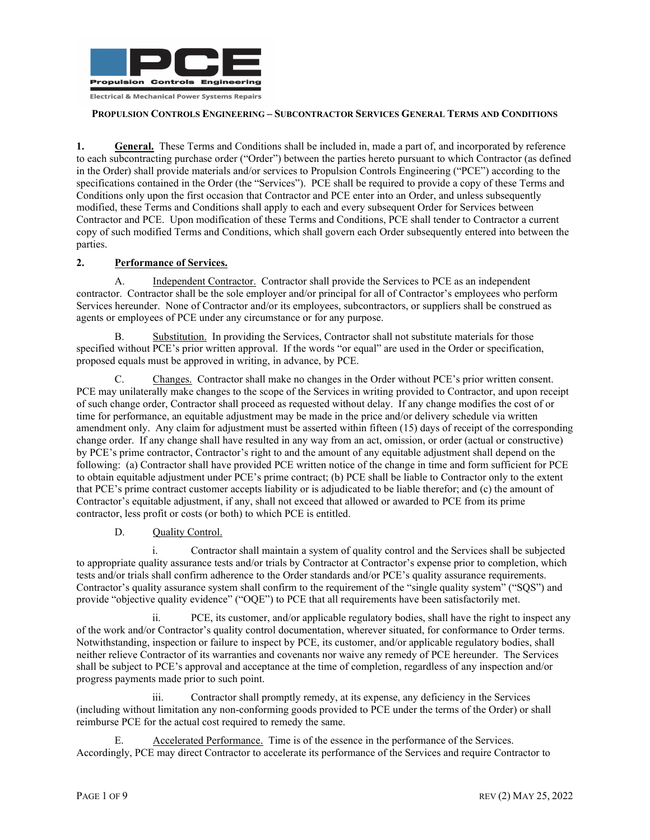

**1.** General. These Terms and Conditions shall be included in, made a part of, and incorporated by reference to each subcontracting purchase order ("Order") between the parties hereto pursuant to which Contractor (as defined in the Order) shall provide materials and/or services to Propulsion Controls Engineering ("PCE") according to the specifications contained in the Order (the "Services"). PCE shall be required to provide a copy of these Terms and Conditions only upon the first occasion that Contractor and PCE enter into an Order, and unless subsequently modified, these Terms and Conditions shall apply to each and every subsequent Order for Services between Contractor and PCE. Upon modification of these Terms and Conditions, PCE shall tender to Contractor a current copy of such modified Terms and Conditions, which shall govern each Order subsequently entered into between the parties.

# **2. Performance of Services.**

A. Independent Contractor. Contractor shall provide the Services to PCE as an independent contractor. Contractor shall be the sole employer and/or principal for all of Contractor's employees who perform Services hereunder. None of Contractor and/or its employees, subcontractors, or suppliers shall be construed as agents or employees of PCE under any circumstance or for any purpose.

B. Substitution. In providing the Services, Contractor shall not substitute materials for those specified without PCE's prior written approval. If the words "or equal" are used in the Order or specification, proposed equals must be approved in writing, in advance, by PCE.

C. Changes. Contractor shall make no changes in the Order without PCE's prior written consent. PCE may unilaterally make changes to the scope of the Services in writing provided to Contractor, and upon receipt of such change order, Contractor shall proceed as requested without delay. If any change modifies the cost of or time for performance, an equitable adjustment may be made in the price and/or delivery schedule via written amendment only. Any claim for adjustment must be asserted within fifteen (15) days of receipt of the corresponding change order. If any change shall have resulted in any way from an act, omission, or order (actual or constructive) by PCE's prime contractor, Contractor's right to and the amount of any equitable adjustment shall depend on the following: (a) Contractor shall have provided PCE written notice of the change in time and form sufficient for PCE to obtain equitable adjustment under PCE's prime contract; (b) PCE shall be liable to Contractor only to the extent that PCE's prime contract customer accepts liability or is adjudicated to be liable therefor; and (c) the amount of Contractor's equitable adjustment, if any, shall not exceed that allowed or awarded to PCE from its prime contractor, less profit or costs (or both) to which PCE is entitled.

# D. Ouality Control.

i. Contractor shall maintain a system of quality control and the Services shall be subjected to appropriate quality assurance tests and/or trials by Contractor at Contractor's expense prior to completion, which tests and/or trials shall confirm adherence to the Order standards and/or PCE's quality assurance requirements. Contractor's quality assurance system shall confirm to the requirement of the "single quality system" ("SQS") and provide "objective quality evidence" ("OQE") to PCE that all requirements have been satisfactorily met.

ii. PCE, its customer, and/or applicable regulatory bodies, shall have the right to inspect any of the work and/or Contractor's quality control documentation, wherever situated, for conformance to Order terms. Notwithstanding, inspection or failure to inspect by PCE, its customer, and/or applicable regulatory bodies, shall neither relieve Contractor of its warranties and covenants nor waive any remedy of PCE hereunder. The Services shall be subject to PCE's approval and acceptance at the time of completion, regardless of any inspection and/or progress payments made prior to such point.

iii. Contractor shall promptly remedy, at its expense, any deficiency in the Services (including without limitation any non-conforming goods provided to PCE under the terms of the Order) or shall reimburse PCE for the actual cost required to remedy the same.

E. Accelerated Performance. Time is of the essence in the performance of the Services. Accordingly, PCE may direct Contractor to accelerate its performance of the Services and require Contractor to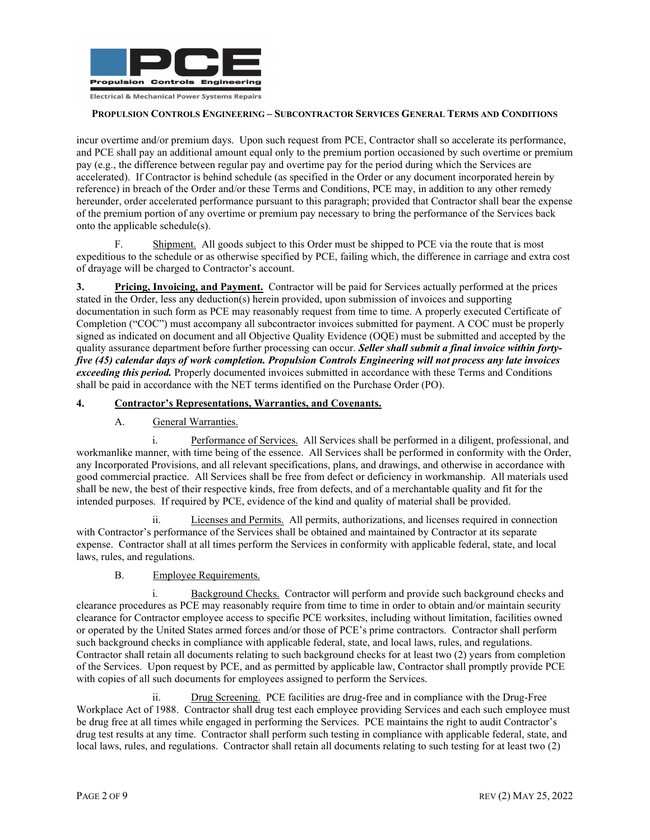

incur overtime and/or premium days. Upon such request from PCE, Contractor shall so accelerate its performance, and PCE shall pay an additional amount equal only to the premium portion occasioned by such overtime or premium pay (e.g., the difference between regular pay and overtime pay for the period during which the Services are accelerated). If Contractor is behind schedule (as specified in the Order or any document incorporated herein by reference) in breach of the Order and/or these Terms and Conditions, PCE may, in addition to any other remedy hereunder, order accelerated performance pursuant to this paragraph; provided that Contractor shall bear the expense of the premium portion of any overtime or premium pay necessary to bring the performance of the Services back onto the applicable schedule(s).

F. Shipment. All goods subject to this Order must be shipped to PCE via the route that is most expeditious to the schedule or as otherwise specified by PCE, failing which, the difference in carriage and extra cost of drayage will be charged to Contractor's account.

**3. Pricing, Invoicing, and Payment.** Contractor will be paid for Services actually performed at the prices stated in the Order, less any deduction(s) herein provided, upon submission of invoices and supporting documentation in such form as PCE may reasonably request from time to time. A properly executed Certificate of Completion ("COC") must accompany all subcontractor invoices submitted for payment. A COC must be properly signed as indicated on document and all Objective Quality Evidence (OQE) must be submitted and accepted by the quality assurance department before further processing can occur. *Seller shall submit a final invoice within fortyfive (45) calendar days of work completion. Propulsion Controls Engineering will not process any late invoices exceeding this period.* Properly documented invoices submitted in accordance with these Terms and Conditions shall be paid in accordance with the NET terms identified on the Purchase Order (PO).

## **4. Contractor's Representations, Warranties, and Covenants.**

# A. General Warranties.

i. Performance of Services. All Services shall be performed in a diligent, professional, and workmanlike manner, with time being of the essence. All Services shall be performed in conformity with the Order, any Incorporated Provisions, and all relevant specifications, plans, and drawings, and otherwise in accordance with good commercial practice. All Services shall be free from defect or deficiency in workmanship. All materials used shall be new, the best of their respective kinds, free from defects, and of a merchantable quality and fit for the intended purposes. If required by PCE, evidence of the kind and quality of material shall be provided.

ii. Licenses and Permits. All permits, authorizations, and licenses required in connection with Contractor's performance of the Services shall be obtained and maintained by Contractor at its separate expense. Contractor shall at all times perform the Services in conformity with applicable federal, state, and local laws, rules, and regulations.

# B. Employee Requirements.

i. Background Checks. Contractor will perform and provide such background checks and clearance procedures as PCE may reasonably require from time to time in order to obtain and/or maintain security clearance for Contractor employee access to specific PCE worksites, including without limitation, facilities owned or operated by the United States armed forces and/or those of PCE's prime contractors. Contractor shall perform such background checks in compliance with applicable federal, state, and local laws, rules, and regulations. Contractor shall retain all documents relating to such background checks for at least two (2) years from completion of the Services. Upon request by PCE, and as permitted by applicable law, Contractor shall promptly provide PCE with copies of all such documents for employees assigned to perform the Services.

ii. Drug Screening. PCE facilities are drug-free and in compliance with the Drug-Free Workplace Act of 1988. Contractor shall drug test each employee providing Services and each such employee must be drug free at all times while engaged in performing the Services. PCE maintains the right to audit Contractor's drug test results at any time. Contractor shall perform such testing in compliance with applicable federal, state, and local laws, rules, and regulations. Contractor shall retain all documents relating to such testing for at least two (2)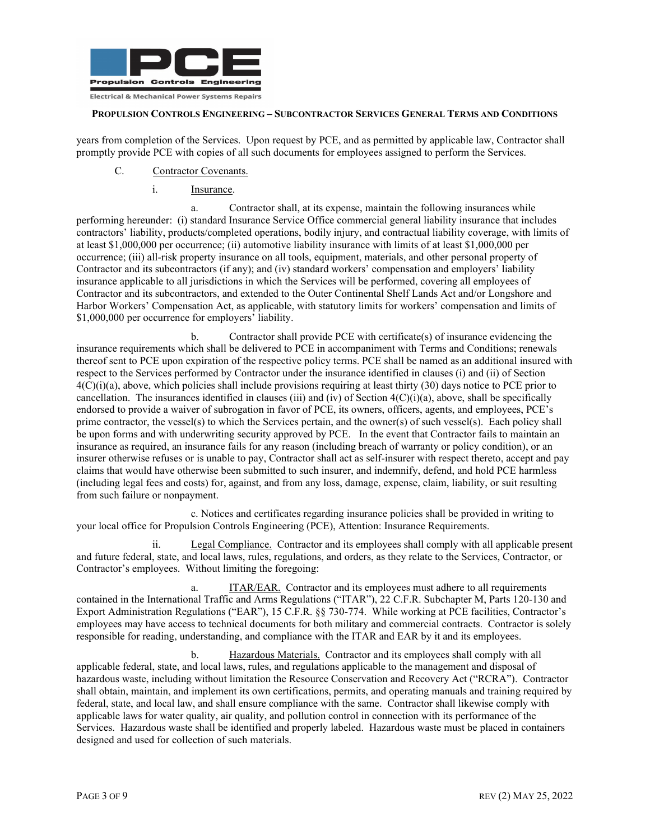

years from completion of the Services. Upon request by PCE, and as permitted by applicable law, Contractor shall promptly provide PCE with copies of all such documents for employees assigned to perform the Services.

- C. Contractor Covenants.
	- i. Insurance.

a. Contractor shall, at its expense, maintain the following insurances while performing hereunder: (i) standard Insurance Service Office commercial general liability insurance that includes contractors' liability, products/completed operations, bodily injury, and contractual liability coverage, with limits of at least \$1,000,000 per occurrence; (ii) automotive liability insurance with limits of at least \$1,000,000 per occurrence; (iii) all-risk property insurance on all tools, equipment, materials, and other personal property of Contractor and its subcontractors (if any); and (iv) standard workers' compensation and employers' liability insurance applicable to all jurisdictions in which the Services will be performed, covering all employees of Contractor and its subcontractors, and extended to the Outer Continental Shelf Lands Act and/or Longshore and Harbor Workers' Compensation Act, as applicable, with statutory limits for workers' compensation and limits of \$1,000,000 per occurrence for employers' liability.

b. Contractor shall provide PCE with certificate(s) of insurance evidencing the insurance requirements which shall be delivered to PCE in accompaniment with Terms and Conditions; renewals thereof sent to PCE upon expiration of the respective policy terms. PCE shall be named as an additional insured with respect to the Services performed by Contractor under the insurance identified in clauses (i) and (ii) of Section  $4(C)(i)(a)$ , above, which policies shall include provisions requiring at least thirty (30) days notice to PCE prior to cancellation. The insurances identified in clauses (iii) and (iv) of Section  $4(C)(i)(a)$ , above, shall be specifically endorsed to provide a waiver of subrogation in favor of PCE, its owners, officers, agents, and employees, PCE's prime contractor, the vessel(s) to which the Services pertain, and the owner(s) of such vessel(s). Each policy shall be upon forms and with underwriting security approved by PCE. In the event that Contractor fails to maintain an insurance as required, an insurance fails for any reason (including breach of warranty or policy condition), or an insurer otherwise refuses or is unable to pay, Contractor shall act as self-insurer with respect thereto, accept and pay claims that would have otherwise been submitted to such insurer, and indemnify, defend, and hold PCE harmless (including legal fees and costs) for, against, and from any loss, damage, expense, claim, liability, or suit resulting from such failure or nonpayment.

c. Notices and certificates regarding insurance policies shall be provided in writing to your local office for Propulsion Controls Engineering (PCE), Attention: Insurance Requirements.

ii. Legal Compliance. Contractor and its employees shall comply with all applicable present and future federal, state, and local laws, rules, regulations, and orders, as they relate to the Services, Contractor, or Contractor's employees. Without limiting the foregoing:

a. ITAR/EAR. Contractor and its employees must adhere to all requirements contained in the International Traffic and Arms Regulations ("ITAR"), 22 C.F.R. Subchapter M, Parts 120-130 and Export Administration Regulations ("EAR"), 15 C.F.R. §§ 730-774. While working at PCE facilities, Contractor's employees may have access to technical documents for both military and commercial contracts. Contractor is solely responsible for reading, understanding, and compliance with the ITAR and EAR by it and its employees.

b. Hazardous Materials. Contractor and its employees shall comply with all applicable federal, state, and local laws, rules, and regulations applicable to the management and disposal of hazardous waste, including without limitation the Resource Conservation and Recovery Act ("RCRA"). Contractor shall obtain, maintain, and implement its own certifications, permits, and operating manuals and training required by federal, state, and local law, and shall ensure compliance with the same. Contractor shall likewise comply with applicable laws for water quality, air quality, and pollution control in connection with its performance of the Services. Hazardous waste shall be identified and properly labeled. Hazardous waste must be placed in containers designed and used for collection of such materials.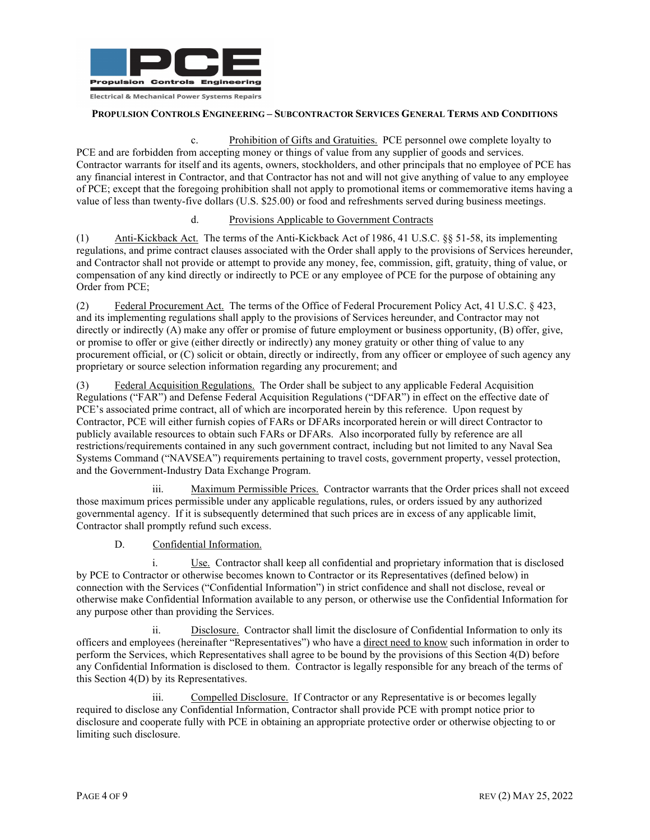

c. Prohibition of Gifts and Gratuities. PCE personnel owe complete loyalty to PCE and are forbidden from accepting money or things of value from any supplier of goods and services. Contractor warrants for itself and its agents, owners, stockholders, and other principals that no employee of PCE has any financial interest in Contractor, and that Contractor has not and will not give anything of value to any employee of PCE; except that the foregoing prohibition shall not apply to promotional items or commemorative items having a value of less than twenty-five dollars (U.S. \$25.00) or food and refreshments served during business meetings.

#### d. Provisions Applicable to Government Contracts

(1) Anti-Kickback Act. The terms of the Anti-Kickback Act of 1986, 41 U.S.C. §§ 51-58, its implementing regulations, and prime contract clauses associated with the Order shall apply to the provisions of Services hereunder, and Contractor shall not provide or attempt to provide any money, fee, commission, gift, gratuity, thing of value, or compensation of any kind directly or indirectly to PCE or any employee of PCE for the purpose of obtaining any Order from PCE;

(2) Federal Procurement Act. The terms of the Office of Federal Procurement Policy Act, 41 U.S.C. § 423, and its implementing regulations shall apply to the provisions of Services hereunder, and Contractor may not directly or indirectly (A) make any offer or promise of future employment or business opportunity, (B) offer, give, or promise to offer or give (either directly or indirectly) any money gratuity or other thing of value to any procurement official, or (C) solicit or obtain, directly or indirectly, from any officer or employee of such agency any proprietary or source selection information regarding any procurement; and

(3) Federal Acquisition Regulations. The Order shall be subject to any applicable Federal Acquisition Regulations ("FAR") and Defense Federal Acquisition Regulations ("DFAR") in effect on the effective date of PCE's associated prime contract, all of which are incorporated herein by this reference. Upon request by Contractor, PCE will either furnish copies of FARs or DFARs incorporated herein or will direct Contractor to publicly available resources to obtain such FARs or DFARs. Also incorporated fully by reference are all restrictions/requirements contained in any such government contract, including but not limited to any Naval Sea Systems Command ("NAVSEA") requirements pertaining to travel costs, government property, vessel protection, and the Government-Industry Data Exchange Program.

iii. Maximum Permissible Prices. Contractor warrants that the Order prices shall not exceed those maximum prices permissible under any applicable regulations, rules, or orders issued by any authorized governmental agency. If it is subsequently determined that such prices are in excess of any applicable limit, Contractor shall promptly refund such excess.

D. Confidential Information.

i. Use. Contractor shall keep all confidential and proprietary information that is disclosed by PCE to Contractor or otherwise becomes known to Contractor or its Representatives (defined below) in connection with the Services ("Confidential Information") in strict confidence and shall not disclose, reveal or otherwise make Confidential Information available to any person, or otherwise use the Confidential Information for any purpose other than providing the Services.

ii. Disclosure. Contractor shall limit the disclosure of Confidential Information to only its officers and employees (hereinafter "Representatives") who have a direct need to know such information in order to perform the Services, which Representatives shall agree to be bound by the provisions of this Section 4(D) before any Confidential Information is disclosed to them. Contractor is legally responsible for any breach of the terms of this Section 4(D) by its Representatives.

iii. Compelled Disclosure. If Contractor or any Representative is or becomes legally required to disclose any Confidential Information, Contractor shall provide PCE with prompt notice prior to disclosure and cooperate fully with PCE in obtaining an appropriate protective order or otherwise objecting to or limiting such disclosure.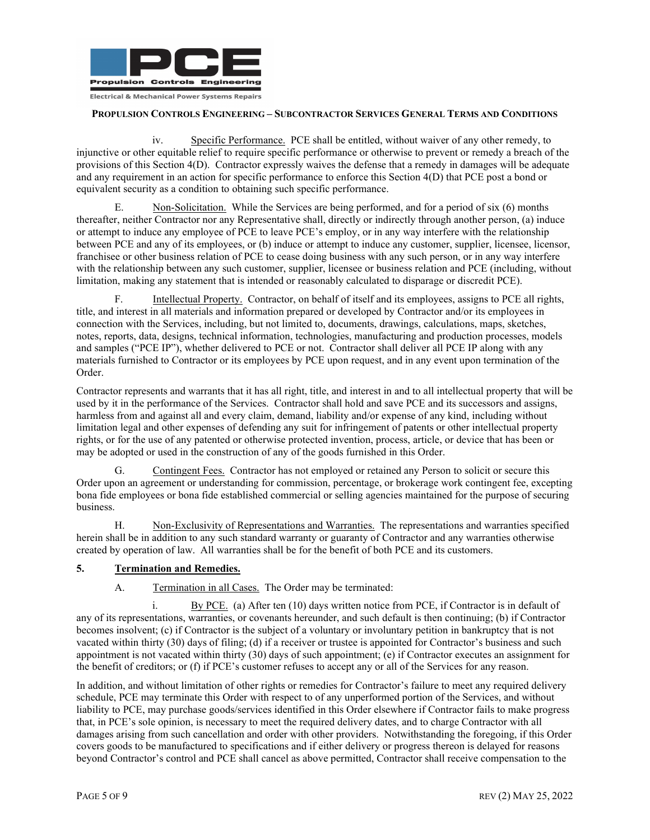

iv. Specific Performance. PCE shall be entitled, without waiver of any other remedy, to injunctive or other equitable relief to require specific performance or otherwise to prevent or remedy a breach of the provisions of this Section 4(D). Contractor expressly waives the defense that a remedy in damages will be adequate and any requirement in an action for specific performance to enforce this Section 4(D) that PCE post a bond or equivalent security as a condition to obtaining such specific performance.

E. Non-Solicitation. While the Services are being performed, and for a period of six (6) months thereafter, neither Contractor nor any Representative shall, directly or indirectly through another person, (a) induce or attempt to induce any employee of PCE to leave PCE's employ, or in any way interfere with the relationship between PCE and any of its employees, or (b) induce or attempt to induce any customer, supplier, licensee, licensor, franchisee or other business relation of PCE to cease doing business with any such person, or in any way interfere with the relationship between any such customer, supplier, licensee or business relation and PCE (including, without limitation, making any statement that is intended or reasonably calculated to disparage or discredit PCE).

F. Intellectual Property. Contractor, on behalf of itself and its employees, assigns to PCE all rights, title, and interest in all materials and information prepared or developed by Contractor and/or its employees in connection with the Services, including, but not limited to, documents, drawings, calculations, maps, sketches, notes, reports, data, designs, technical information, technologies, manufacturing and production processes, models and samples ("PCE IP"), whether delivered to PCE or not. Contractor shall deliver all PCE IP along with any materials furnished to Contractor or its employees by PCE upon request, and in any event upon termination of the Order.

Contractor represents and warrants that it has all right, title, and interest in and to all intellectual property that will be used by it in the performance of the Services. Contractor shall hold and save PCE and its successors and assigns, harmless from and against all and every claim, demand, liability and/or expense of any kind, including without limitation legal and other expenses of defending any suit for infringement of patents or other intellectual property rights, or for the use of any patented or otherwise protected invention, process, article, or device that has been or may be adopted or used in the construction of any of the goods furnished in this Order.

G. Contingent Fees. Contractor has not employed or retained any Person to solicit or secure this Order upon an agreement or understanding for commission, percentage, or brokerage work contingent fee, excepting bona fide employees or bona fide established commercial or selling agencies maintained for the purpose of securing business.

H. Non-Exclusivity of Representations and Warranties. The representations and warranties specified herein shall be in addition to any such standard warranty or guaranty of Contractor and any warranties otherwise created by operation of law. All warranties shall be for the benefit of both PCE and its customers.

#### **5. Termination and Remedies.**

A. Termination in all Cases. The Order may be terminated:

i. By PCE. (a) After ten  $(10)$  days written notice from PCE, if Contractor is in default of any of its representations, warranties, or covenants hereunder, and such default is then continuing; (b) if Contractor becomes insolvent; (c) if Contractor is the subject of a voluntary or involuntary petition in bankruptcy that is not vacated within thirty (30) days of filing; (d) if a receiver or trustee is appointed for Contractor's business and such appointment is not vacated within thirty (30) days of such appointment; (e) if Contractor executes an assignment for the benefit of creditors; or (f) if PCE's customer refuses to accept any or all of the Services for any reason.

In addition, and without limitation of other rights or remedies for Contractor's failure to meet any required delivery schedule, PCE may terminate this Order with respect to of any unperformed portion of the Services, and without liability to PCE, may purchase goods/services identified in this Order elsewhere if Contractor fails to make progress that, in PCE's sole opinion, is necessary to meet the required delivery dates, and to charge Contractor with all damages arising from such cancellation and order with other providers. Notwithstanding the foregoing, if this Order covers goods to be manufactured to specifications and if either delivery or progress thereon is delayed for reasons beyond Contractor's control and PCE shall cancel as above permitted, Contractor shall receive compensation to the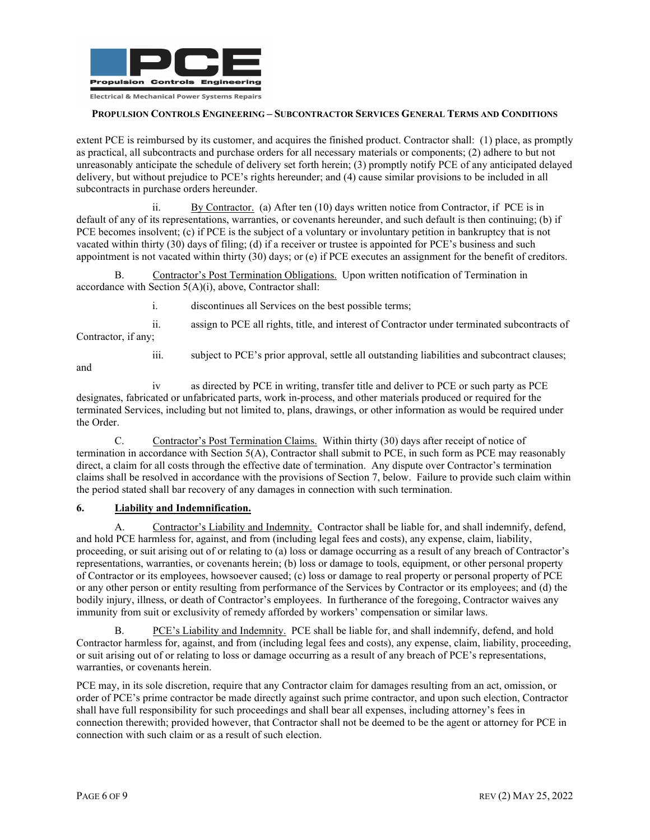

extent PCE is reimbursed by its customer, and acquires the finished product. Contractor shall: (1) place, as promptly as practical, all subcontracts and purchase orders for all necessary materials or components; (2) adhere to but not unreasonably anticipate the schedule of delivery set forth herein; (3) promptly notify PCE of any anticipated delayed delivery, but without prejudice to PCE's rights hereunder; and (4) cause similar provisions to be included in all subcontracts in purchase orders hereunder.

ii. By Contractor. (a) After ten (10) days written notice from Contractor, if PCE is in default of any of its representations, warranties, or covenants hereunder, and such default is then continuing; (b) if PCE becomes insolvent; (c) if PCE is the subject of a voluntary or involuntary petition in bankruptcy that is not vacated within thirty (30) days of filing; (d) if a receiver or trustee is appointed for PCE's business and such appointment is not vacated within thirty (30) days; or (e) if PCE executes an assignment for the benefit of creditors.

B. Contractor's Post Termination Obligations. Upon written notification of Termination in accordance with Section 5(A)(i), above, Contractor shall:

i. discontinues all Services on the best possible terms;

ii. assign to PCE all rights, title, and interest of Contractor under terminated subcontracts of Contractor, if any;

and

iii. subject to PCE's prior approval, settle all outstanding liabilities and subcontract clauses;

iv as directed by PCE in writing, transfer title and deliver to PCE or such party as PCE designates, fabricated or unfabricated parts, work in-process, and other materials produced or required for the terminated Services, including but not limited to, plans, drawings, or other information as would be required under the Order.

C. Contractor's Post Termination Claims. Within thirty (30) days after receipt of notice of termination in accordance with Section 5(A), Contractor shall submit to PCE, in such form as PCE may reasonably direct, a claim for all costs through the effective date of termination. Any dispute over Contractor's termination claims shall be resolved in accordance with the provisions of Section 7, below. Failure to provide such claim within the period stated shall bar recovery of any damages in connection with such termination.

# **6. Liability and Indemnification.**

A. Contractor's Liability and Indemnity. Contractor shall be liable for, and shall indemnify, defend, and hold PCE harmless for, against, and from (including legal fees and costs), any expense, claim, liability, proceeding, or suit arising out of or relating to (a) loss or damage occurring as a result of any breach of Contractor's representations, warranties, or covenants herein; (b) loss or damage to tools, equipment, or other personal property of Contractor or its employees, howsoever caused; (c) loss or damage to real property or personal property of PCE or any other person or entity resulting from performance of the Services by Contractor or its employees; and (d) the bodily injury, illness, or death of Contractor's employees. In furtherance of the foregoing, Contractor waives any immunity from suit or exclusivity of remedy afforded by workers' compensation or similar laws.

B. PCE's Liability and Indemnity. PCE shall be liable for, and shall indemnify, defend, and hold Contractor harmless for, against, and from (including legal fees and costs), any expense, claim, liability, proceeding, or suit arising out of or relating to loss or damage occurring as a result of any breach of PCE's representations, warranties, or covenants herein.

PCE may, in its sole discretion, require that any Contractor claim for damages resulting from an act, omission, or order of PCE's prime contractor be made directly against such prime contractor, and upon such election, Contractor shall have full responsibility for such proceedings and shall bear all expenses, including attorney's fees in connection therewith; provided however, that Contractor shall not be deemed to be the agent or attorney for PCE in connection with such claim or as a result of such election.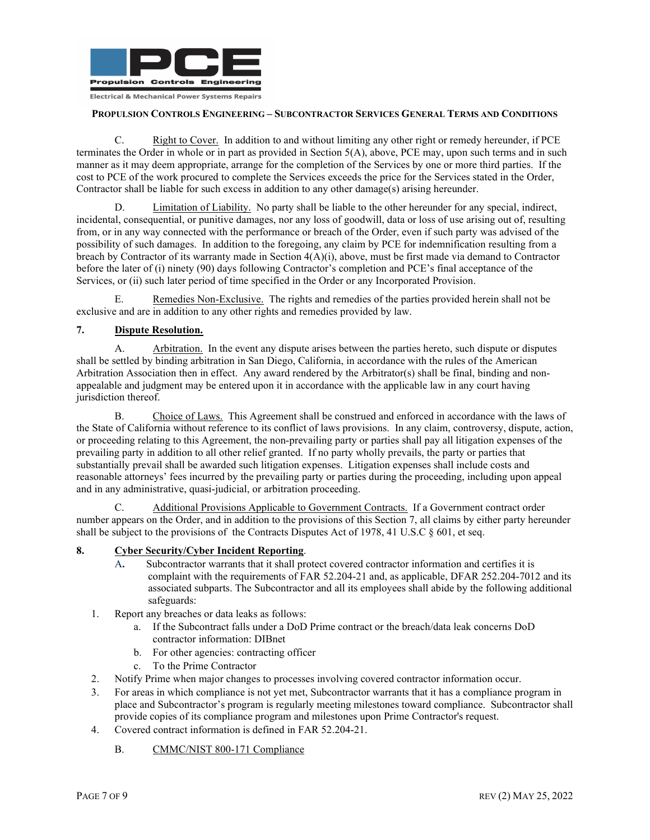

C. Right to Cover. In addition to and without limiting any other right or remedy hereunder, if PCE terminates the Order in whole or in part as provided in Section 5(A), above, PCE may, upon such terms and in such manner as it may deem appropriate, arrange for the completion of the Services by one or more third parties. If the cost to PCE of the work procured to complete the Services exceeds the price for the Services stated in the Order, Contractor shall be liable for such excess in addition to any other damage(s) arising hereunder.

D. Limitation of Liability. No party shall be liable to the other hereunder for any special, indirect, incidental, consequential, or punitive damages, nor any loss of goodwill, data or loss of use arising out of, resulting from, or in any way connected with the performance or breach of the Order, even if such party was advised of the possibility of such damages. In addition to the foregoing, any claim by PCE for indemnification resulting from a breach by Contractor of its warranty made in Section 4(A)(i), above, must be first made via demand to Contractor before the later of (i) ninety (90) days following Contractor's completion and PCE's final acceptance of the Services, or (ii) such later period of time specified in the Order or any Incorporated Provision.

E. Remedies Non-Exclusive. The rights and remedies of the parties provided herein shall not be exclusive and are in addition to any other rights and remedies provided by law.

#### **7. Dispute Resolution.**

A. Arbitration. In the event any dispute arises between the parties hereto, such dispute or disputes shall be settled by binding arbitration in San Diego, California, in accordance with the rules of the American Arbitration Association then in effect. Any award rendered by the Arbitrator(s) shall be final, binding and nonappealable and judgment may be entered upon it in accordance with the applicable law in any court having jurisdiction thereof.

B. Choice of Laws. This Agreement shall be construed and enforced in accordance with the laws of the State of California without reference to its conflict of laws provisions. In any claim, controversy, dispute, action, or proceeding relating to this Agreement, the non-prevailing party or parties shall pay all litigation expenses of the prevailing party in addition to all other relief granted. If no party wholly prevails, the party or parties that substantially prevail shall be awarded such litigation expenses. Litigation expenses shall include costs and reasonable attorneys' fees incurred by the prevailing party or parties during the proceeding, including upon appeal and in any administrative, quasi-judicial, or arbitration proceeding.

Additional Provisions Applicable to Government Contracts. If a Government contract order number appears on the Order, and in addition to the provisions of this Section 7, all claims by either party hereunder shall be subject to the provisions of the Contracts Disputes Act of 1978, 41 U.S.C § 601, et seq.

#### **8. Cyber Security/Cyber Incident Reporting**.

- A**.** Subcontractor warrants that it shall protect covered contractor information and certifies it is complaint with the requirements of FAR 52.204-21 and, as applicable, DFAR 252.204-7012 and its associated subparts. The Subcontractor and all its employees shall abide by the following additional safeguards:
- 1. Report any breaches or data leaks as follows:
	- a. If the Subcontract falls under a DoD Prime contract or the breach/data leak concerns DoD contractor information: DIBnet
	- b. For other agencies: contracting officer
	- c. To the Prime Contractor
- 2. Notify Prime when major changes to processes involving covered contractor information occur.
- 3. For areas in which compliance is not yet met, Subcontractor warrants that it has a compliance program in place and Subcontractor's program is regularly meeting milestones toward compliance. Subcontractor shall provide copies of its compliance program and milestones upon Prime Contractor's request.
- 4. Covered contract information is defined in FAR 52.204-21.
	- B. CMMC/NIST 800-171 Compliance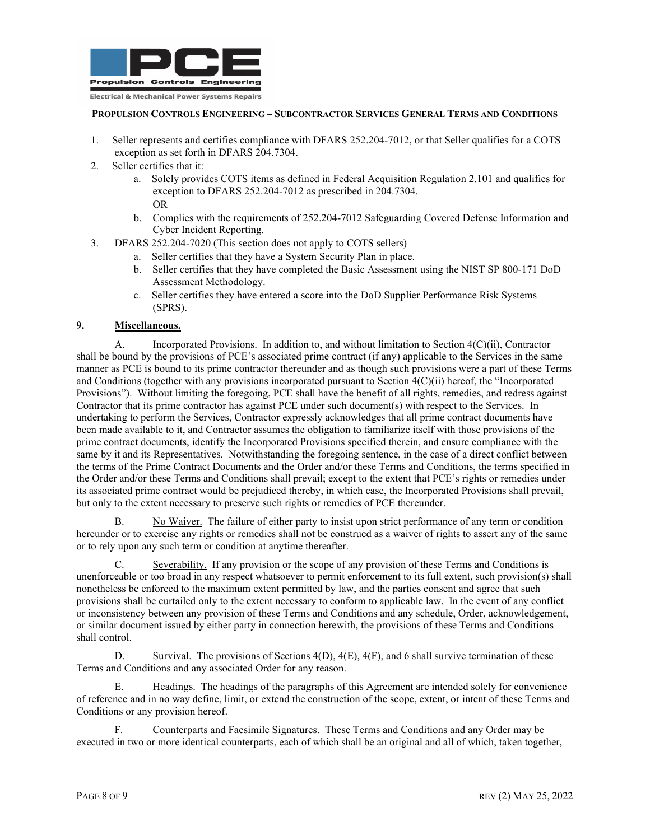

- 1. Seller represents and certifies compliance with DFARS 252.204-7012, or that Seller qualifies for a COTS exception as set forth in DFARS 204.7304.
- 2. Seller certifies that it:
	- a. Solely provides COTS items as defined in Federal Acquisition Regulation 2.101 and qualifies for exception to DFARS 252.204-7012 as prescribed in 204.7304. OR
	- b. Complies with the requirements of 252.204-7012 Safeguarding Covered Defense Information and Cyber Incident Reporting.
- 3. DFARS 252.204-7020 (This section does not apply to COTS sellers)
	- a. Seller certifies that they have a System Security Plan in place.
		- b. Seller certifies that they have completed the Basic Assessment using the NIST SP 800-171 DoD Assessment Methodology.
		- c. Seller certifies they have entered a score into the DoD Supplier Performance Risk Systems (SPRS).

# **9. Miscellaneous.**

A. Incorporated Provisions. In addition to, and without limitation to Section 4(C)(ii), Contractor shall be bound by the provisions of PCE's associated prime contract (if any) applicable to the Services in the same manner as PCE is bound to its prime contractor thereunder and as though such provisions were a part of these Terms and Conditions (together with any provisions incorporated pursuant to Section 4(C)(ii) hereof, the "Incorporated Provisions"). Without limiting the foregoing, PCE shall have the benefit of all rights, remedies, and redress against Contractor that its prime contractor has against PCE under such document(s) with respect to the Services. In undertaking to perform the Services, Contractor expressly acknowledges that all prime contract documents have been made available to it, and Contractor assumes the obligation to familiarize itself with those provisions of the prime contract documents, identify the Incorporated Provisions specified therein, and ensure compliance with the same by it and its Representatives. Notwithstanding the foregoing sentence, in the case of a direct conflict between the terms of the Prime Contract Documents and the Order and/or these Terms and Conditions, the terms specified in the Order and/or these Terms and Conditions shall prevail; except to the extent that PCE's rights or remedies under its associated prime contract would be prejudiced thereby, in which case, the Incorporated Provisions shall prevail, but only to the extent necessary to preserve such rights or remedies of PCE thereunder.

B. No Waiver. The failure of either party to insist upon strict performance of any term or condition hereunder or to exercise any rights or remedies shall not be construed as a waiver of rights to assert any of the same or to rely upon any such term or condition at anytime thereafter.

C. Severability. If any provision or the scope of any provision of these Terms and Conditions is unenforceable or too broad in any respect whatsoever to permit enforcement to its full extent, such provision(s) shall nonetheless be enforced to the maximum extent permitted by law, and the parties consent and agree that such provisions shall be curtailed only to the extent necessary to conform to applicable law. In the event of any conflict or inconsistency between any provision of these Terms and Conditions and any schedule, Order, acknowledgement, or similar document issued by either party in connection herewith, the provisions of these Terms and Conditions shall control.

D. Survival. The provisions of Sections  $4(D)$ ,  $4(E)$ ,  $4(F)$ , and 6 shall survive termination of these Terms and Conditions and any associated Order for any reason.

Headings. The headings of the paragraphs of this Agreement are intended solely for convenience of reference and in no way define, limit, or extend the construction of the scope, extent, or intent of these Terms and Conditions or any provision hereof.

F. Counterparts and Facsimile Signatures. These Terms and Conditions and any Order may be executed in two or more identical counterparts, each of which shall be an original and all of which, taken together,